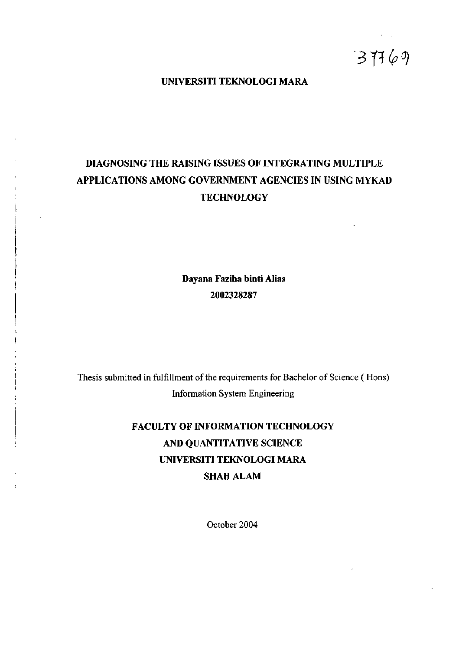*31^ (p^* 

### **UNIVERSITI TEKNOLOGI MARA**

# **DIAGNOSING THE RAISING ISSUES OF INTEGRATING MULTIPLE APPLICATIONS AMONG GOVERNMENT AGENCIES IN USING MYKAD TECHNOLOGY**

**Dayana Faziha binti Alias**  2002328287

Thesis submitted in fulfillment of the requirements for Bachelor of Science (Hons) Information System Engineering

# **FACULTY OF INFORMATION TECHNOLOGY AND QUANTITATIVE SCIENCE UNIVERSITI TEKNOLOGI MARA SHAH ALAM**

October 2004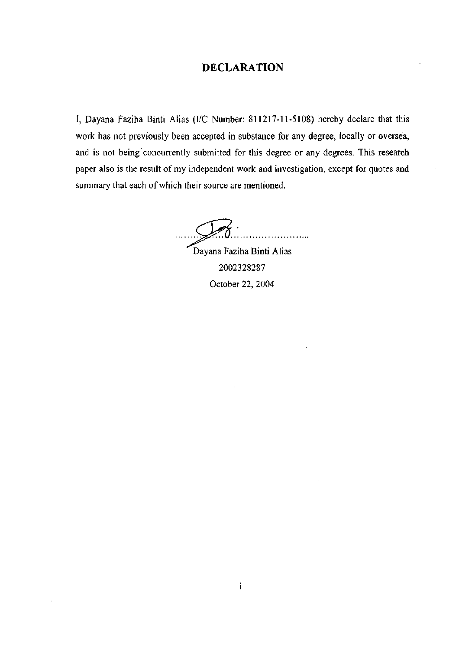## **DECLARATION**

I, Dayana Faziha Binti Alias (I/C Number: 811217-11-5108) hereby declare that this work has not previously been accepted in substance for any degree, locally or oversea, and is not being concurrently submitted for this degree or any degrees. This research paper also is the result of my independent work and investigation, except for quotes and summary that each of which their source are mentioned.

. . . . . . . . . . . . . . . . . .

Dayana Faziha Binti Alias 2002328287 October 22, 2004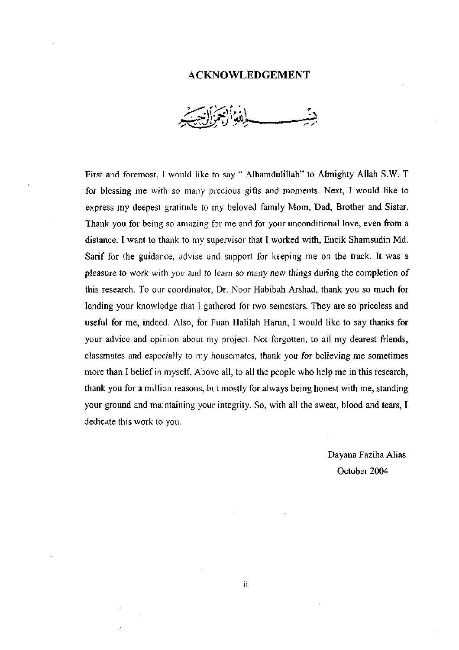#### **ACKNOWLEDGEMENT**

First and foremost, I would like to say " Alhamdulillah" to Almighty Allah S.W. T for blessing me with so many precious gifts and moments. Next, I would like to express my deepest gratitude to my beloved family Mom, Dad, Brother and Sister. Thank you for being so amazing for me and for your unconditional love, even from a distance. I want to thank to my supervisor that I worked with, Encik Shamsudin Md. Sarif for the guidance, advise and support for keeping me on the track. It was a pleasure to work with you and to learn so many new things during the completion of this research. To our coordinator, Dr. Noor Habibah Arshad, thank you so much for lending your knowledge that I gathered for two semesters. They are so priceless and useful for me, indeed. Also, for Puan Halilah Harun, I would like to say thanks for your advice and opinion about my project. Not forgotten, to all my dearest friends, classmates and especially to my housemates, thank you for believing me sometimes more than I belief in myself. Above all, to all the people who help me in this research, thank you for a million reasons, but mostly for always being honest with me, standing your ground and maintaining your integrity. So, with all the sweat, blood and tears, I dedicate this work to you.

> Dayana Faziha Alias October 2004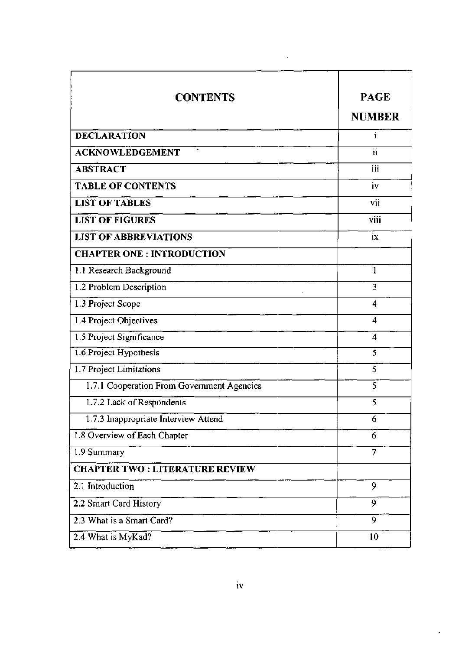| <b>CONTENTS</b>                            | <b>PAGE</b><br><b>NUMBER</b> |
|--------------------------------------------|------------------------------|
| <b>DECLARATION</b>                         | i                            |
| <b>ACKNOWLEDGEMENT</b>                     | $\overline{\mathbf{ii}}$     |
| <b>ABSTRACT</b>                            | iii                          |
| <b>TABLE OF CONTENTS</b>                   | iv                           |
| <b>LIST OF TABLES</b>                      | vii                          |
| <b>LIST OF FIGURES</b>                     | viii                         |
| <b>LIST OF ABBREVIATIONS</b>               | ix                           |
| <b>CHAPTER ONE: INTRODUCTION</b>           |                              |
| 1.1 Research Background                    | 1                            |
| 1.2 Problem Description                    | 3                            |
| 1.3 Project Scope                          | 4                            |
| 1.4 Project Objectives                     | 4                            |
| 1.5 Project Significance                   | 4                            |
| 1.6 Project Hypothesis                     | 5                            |
| 1.7 Project Limitations                    | 5                            |
| 1.7.1 Cooperation From Government Agencies | 5                            |
| 1.7.2 Lack of Respondents                  | 5                            |
| 1.7.3 Inappropriate Interview Attend       | 6                            |
| 1.8 Overview of Each Chapter               | 6                            |
| 1.9 Summary                                | 7                            |
| <b>CHAPTER TWO: LITERATURE REVIEW</b>      |                              |
| 2.1 Introduction                           | 9                            |
| 2.2 Smart Card History                     | 9                            |
| 2.3 What is a Smart Card?                  | 9                            |
| 2.4 What is MyKad?                         | 10                           |

 $\sim 10^{11}$  km s  $^{-1}$  .

l,